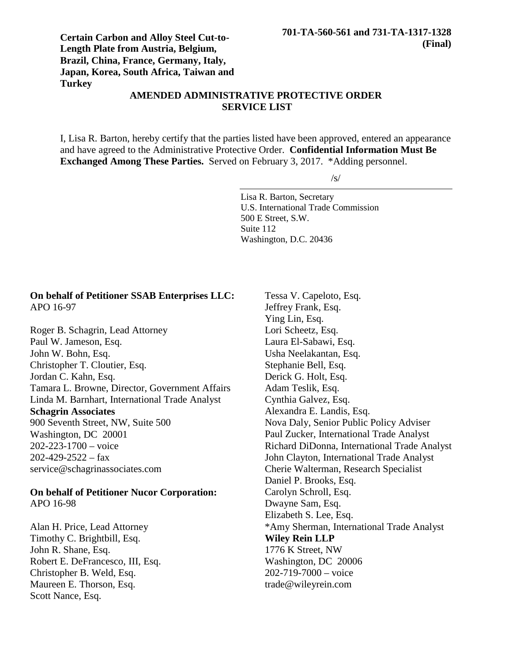# **Certain Carbon and Alloy Steel Cut-to-Length Plate from Austria, Belgium, Brazil, China, France, Germany, Italy, Japan, Korea, South Africa, Taiwan and Turkey**

# **AMENDED ADMINISTRATIVE PROTECTIVE ORDER SERVICE LIST**

I, Lisa R. Barton, hereby certify that the parties listed have been approved, entered an appearance and have agreed to the Administrative Protective Order. **Confidential Information Must Be Exchanged Among These Parties.** Served on February 3, 2017. \*Adding personnel.

 $\sqrt{s}$ 

Lisa R. Barton, Secretary U.S. International Trade Commission 500 E Street, S.W. Suite 112 Washington, D.C. 20436

## **On behalf of Petitioner SSAB Enterprises LLC:** APO 16-97

Roger B. Schagrin, Lead Attorney Paul W. Jameson, Esq. John W. Bohn, Esq. Christopher T. Cloutier, Esq. Jordan C. Kahn, Esq. Tamara L. Browne, Director, Government Affairs Linda M. Barnhart, International Trade Analyst **Schagrin Associates** 900 Seventh Street, NW, Suite 500 Washington, DC 20001 202-223-1700 – voice  $202 - 429 - 2522 - 6x$ service@schagrinassociates.com

#### **On behalf of Petitioner Nucor Corporation:** APO 16-98

Alan H. Price, Lead Attorney Timothy C. Brightbill, Esq. John R. Shane, Esq. Robert E. DeFrancesco, III, Esq. Christopher B. Weld, Esq. Maureen E. Thorson, Esq. Scott Nance, Esq.

Tessa V. Capeloto, Esq. Jeffrey Frank, Esq. Ying Lin, Esq. Lori Scheetz, Esq. Laura El-Sabawi, Esq. Usha Neelakantan, Esq. Stephanie Bell, Esq. Derick G. Holt, Esq. Adam Teslik, Esq. Cynthia Galvez, Esq. Alexandra E. Landis, Esq. Nova Daly, Senior Public Policy Adviser Paul Zucker, International Trade Analyst Richard DiDonna, International Trade Analyst John Clayton, International Trade Analyst Cherie Walterman, Research Specialist Daniel P. Brooks, Esq. Carolyn Schroll, Esq. Dwayne Sam, Esq. Elizabeth S. Lee, Esq. \*Amy Sherman, International Trade Analyst **Wiley Rein LLP** 1776 K Street, NW Washington, DC 20006 202-719-7000 – voice trade@wileyrein.com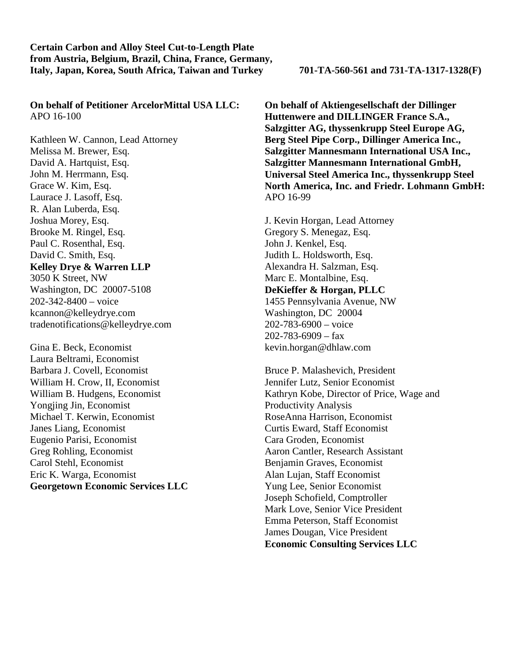**On behalf of Petitioner ArcelorMittal USA LLC:** APO 16-100

Kathleen W. Cannon, Lead Attorney Melissa M. Brewer, Esq. David A. Hartquist, Esq. John M. Herrmann, Esq. Grace W. Kim, Esq. Laurace J. Lasoff, Esq. R. Alan Luberda, Esq. Joshua Morey, Esq. Brooke M. Ringel, Esq. Paul C. Rosenthal, Esq. David C. Smith, Esq. **Kelley Drye & Warren LLP** 3050 K Street, NW Washington, DC 20007-5108 202-342-8400 – voice kcannon@kelleydrye.com tradenotifications@kelleydrye.com

Gina E. Beck, Economist Laura Beltrami, Economist Barbara J. Covell, Economist William H. Crow, II, Economist William B. Hudgens, Economist Yongjing Jin, Economist Michael T. Kerwin, Economist Janes Liang, Economist Eugenio Parisi, Economist Greg Rohling, Economist Carol Stehl, Economist Eric K. Warga, Economist **Georgetown Economic Services LLC**

**On behalf of Aktiengesellschaft der Dillinger Huttenwere and DILLINGER France S.A., Salzgitter AG, thyssenkrupp Steel Europe AG, Berg Steel Pipe Corp., Dillinger America Inc., Salzgitter Mannesmann International USA Inc., Salzgitter Mannesmann International GmbH, Universal Steel America Inc., thyssenkrupp Steel North America, Inc. and Friedr. Lohmann GmbH:** APO 16-99

J. Kevin Horgan, Lead Attorney Gregory S. Menegaz, Esq. John J. Kenkel, Esq. Judith L. Holdsworth, Esq. Alexandra H. Salzman, Esq. Marc E. Montalbine, Esq. **DeKieffer & Horgan, PLLC** 1455 Pennsylvania Avenue, NW Washington, DC 20004 202-783-6900 – voice  $202 - 783 - 6909 - \text{tax}$ kevin.horgan@dhlaw.com

Bruce P. Malashevich, President Jennifer Lutz, Senior Economist Kathryn Kobe, Director of Price, Wage and Productivity Analysis RoseAnna Harrison, Economist Curtis Eward, Staff Economist Cara Groden, Economist Aaron Cantler, Research Assistant Benjamin Graves, Economist Alan Lujan, Staff Economist Yung Lee, Senior Economist Joseph Schofield, Comptroller Mark Love, Senior Vice President Emma Peterson, Staff Economist James Dougan, Vice President **Economic Consulting Services LLC**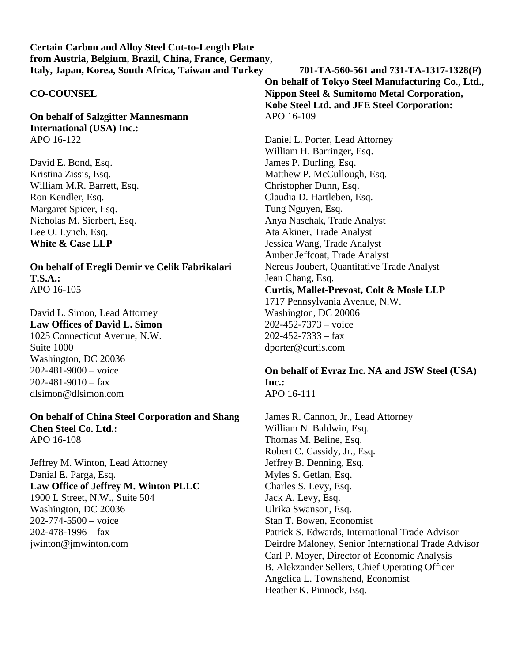## **CO-COUNSEL**

**On behalf of Salzgitter Mannesmann International (USA) Inc.:** APO 16-122

David E. Bond, Esq. Kristina Zissis, Esq. William M.R. Barrett, Esq. Ron Kendler, Esq. Margaret Spicer, Esq. Nicholas M. Sierbert, Esq. Lee O. Lynch, Esq. **White & Case LLP**

**On behalf of Eregli Demir ve Celik Fabrikalari T.S.A.:** APO 16-105

David L. Simon, Lead Attorney **Law Offices of David L. Simon** 1025 Connecticut Avenue, N.W. Suite 1000 Washington, DC 20036 202-481-9000 – voice  $202 - 481 - 9010 - \text{fax}$ dlsimon@dlsimon.com

**On behalf of China Steel Corporation and Shang Chen Steel Co. Ltd.:** APO 16-108

Jeffrey M. Winton, Lead Attorney Danial E. Parga, Esq. **Law Office of Jeffrey M. Winton PLLC** 1900 L Street, N.W., Suite 504 Washington, DC 20036 202-774-5500 – voice  $202 - 478 - 1996 -$ fax jwinton@jmwinton.com

**On behalf of Tokyo Steel Manufacturing Co., Ltd., Nippon Steel & Sumitomo Metal Corporation, Kobe Steel Ltd. and JFE Steel Corporation:** APO 16-109

Daniel L. Porter, Lead Attorney William H. Barringer, Esq. James P. Durling, Esq. Matthew P. McCullough, Esq. Christopher Dunn, Esq. Claudia D. Hartleben, Esq. Tung Nguyen, Esq. Anya Naschak, Trade Analyst Ata Akiner, Trade Analyst Jessica Wang, Trade Analyst Amber Jeffcoat, Trade Analyst Nereus Joubert, Quantitative Trade Analyst Jean Chang, Esq. **Curtis, Mallet-Prevost, Colt & Mosle LLP** 1717 Pennsylvania Avenue, N.W. Washington, DC 20006 202-452-7373 – voice  $202 - 452 - 7333 - fax$ dporter@curtis.com

## **On behalf of Evraz Inc. NA and JSW Steel (USA) Inc.:** APO 16-111

James R. Cannon, Jr., Lead Attorney William N. Baldwin, Esq. Thomas M. Beline, Esq. Robert C. Cassidy, Jr., Esq. Jeffrey B. Denning, Esq. Myles S. Getlan, Esq. Charles S. Levy, Esq. Jack A. Levy, Esq. Ulrika Swanson, Esq. Stan T. Bowen, Economist Patrick S. Edwards, International Trade Advisor Deirdre Maloney, Senior International Trade Advisor Carl P. Moyer, Director of Economic Analysis B. Alekzander Sellers, Chief Operating Officer Angelica L. Townshend, Economist Heather K. Pinnock, Esq.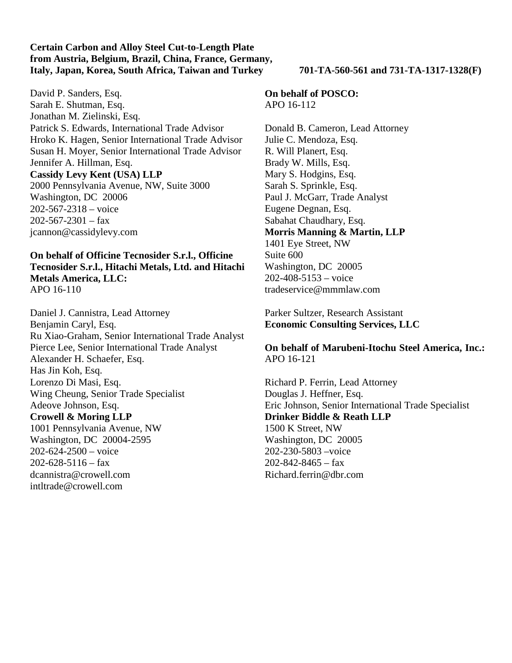David P. Sanders, Esq. Sarah E. Shutman, Esq. Jonathan M. Zielinski, Esq. Patrick S. Edwards, International Trade Advisor Hroko K. Hagen, Senior International Trade Advisor Susan H. Moyer, Senior International Trade Advisor Jennifer A. Hillman, Esq. **Cassidy Levy Kent (USA) LLP** 2000 Pennsylvania Avenue, NW, Suite 3000 Washington, DC 20006 202-567-2318 – voice  $202 - 567 - 2301 - fax$ 

jcannon@cassidylevy.com

**On behalf of Officine Tecnosider S.r.l., Officine Tecnosider S.r.l., Hitachi Metals, Ltd. and Hitachi Metals America, LLC:** APO 16-110

Daniel J. Cannistra, Lead Attorney Benjamin Caryl, Esq. Ru Xiao-Graham, Senior International Trade Analyst Pierce Lee, Senior International Trade Analyst Alexander H. Schaefer, Esq. Has Jin Koh, Esq. Lorenzo Di Masi, Esq. Wing Cheung, Senior Trade Specialist Adeove Johnson, Esq. **Crowell & Moring LLP** 1001 Pennsylvania Avenue, NW Washington, DC 20004-2595  $202 - 624 - 2500 - \text{voice}$ 202-628-5116 – fax dcannistra@crowell.com intltrade@crowell.com

**On behalf of POSCO:** APO 16-112

Donald B. Cameron, Lead Attorney Julie C. Mendoza, Esq. R. Will Planert, Esq. Brady W. Mills, Esq. Mary S. Hodgins, Esq. Sarah S. Sprinkle, Esq. Paul J. McGarr, Trade Analyst Eugene Degnan, Esq. Sabahat Chaudhary, Esq. **Morris Manning & Martin, LLP** 1401 Eye Street, NW Suite 600 Washington, DC 20005 202-408-5153 – voice tradeservice@mmmlaw.com

# Parker Sultzer, Research Assistant **Economic Consulting Services, LLC**

**On behalf of Marubeni-Itochu Steel America, Inc.:** APO 16-121

Richard P. Ferrin, Lead Attorney Douglas J. Heffner, Esq. Eric Johnson, Senior International Trade Specialist **Drinker Biddle & Reath LLP** 1500 K Street, NW Washington, DC 20005 202-230-5803 –voice  $202 - 842 - 8465 - fax$ Richard.ferrin@dbr.com